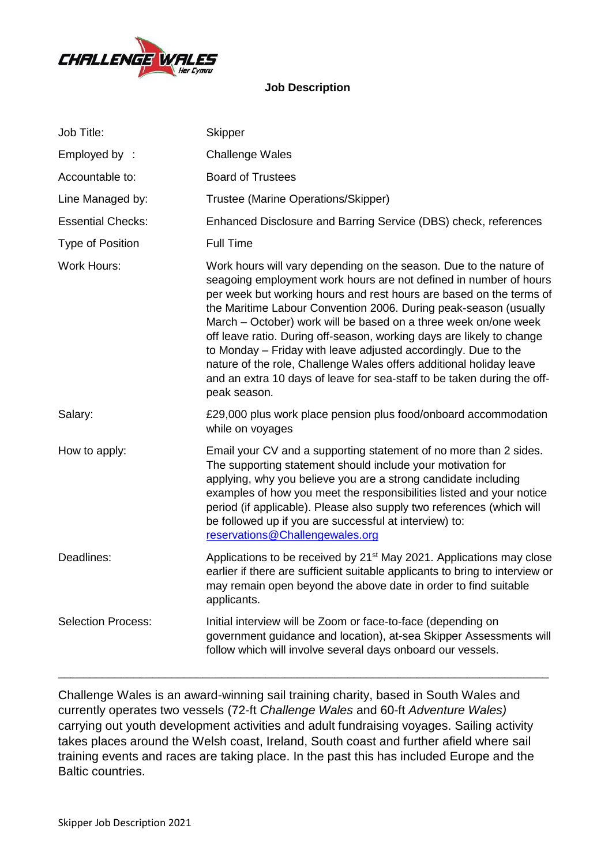

**Job Description**

| Job Title:                | <b>Skipper</b>                                                                                                                                                                                                                                                                                                                                                                                                                                                                                                                                                                                                                                                     |
|---------------------------|--------------------------------------------------------------------------------------------------------------------------------------------------------------------------------------------------------------------------------------------------------------------------------------------------------------------------------------------------------------------------------------------------------------------------------------------------------------------------------------------------------------------------------------------------------------------------------------------------------------------------------------------------------------------|
| Employed by :             | <b>Challenge Wales</b>                                                                                                                                                                                                                                                                                                                                                                                                                                                                                                                                                                                                                                             |
| Accountable to:           | <b>Board of Trustees</b>                                                                                                                                                                                                                                                                                                                                                                                                                                                                                                                                                                                                                                           |
| Line Managed by:          | Trustee (Marine Operations/Skipper)                                                                                                                                                                                                                                                                                                                                                                                                                                                                                                                                                                                                                                |
| <b>Essential Checks:</b>  | Enhanced Disclosure and Barring Service (DBS) check, references                                                                                                                                                                                                                                                                                                                                                                                                                                                                                                                                                                                                    |
| <b>Type of Position</b>   | <b>Full Time</b>                                                                                                                                                                                                                                                                                                                                                                                                                                                                                                                                                                                                                                                   |
| <b>Work Hours:</b>        | Work hours will vary depending on the season. Due to the nature of<br>seagoing employment work hours are not defined in number of hours<br>per week but working hours and rest hours are based on the terms of<br>the Maritime Labour Convention 2006. During peak-season (usually<br>March – October) work will be based on a three week on/one week<br>off leave ratio. During off-season, working days are likely to change<br>to Monday – Friday with leave adjusted accordingly. Due to the<br>nature of the role, Challenge Wales offers additional holiday leave<br>and an extra 10 days of leave for sea-staff to be taken during the off-<br>peak season. |
| Salary:                   | £29,000 plus work place pension plus food/onboard accommodation<br>while on voyages                                                                                                                                                                                                                                                                                                                                                                                                                                                                                                                                                                                |
| How to apply:             | Email your CV and a supporting statement of no more than 2 sides.<br>The supporting statement should include your motivation for<br>applying, why you believe you are a strong candidate including<br>examples of how you meet the responsibilities listed and your notice<br>period (if applicable). Please also supply two references (which will<br>be followed up if you are successful at interview) to:<br>reservations@Challengewales.org                                                                                                                                                                                                                   |
| Deadlines:                | Applications to be received by 21 <sup>st</sup> May 2021. Applications may close<br>earlier if there are sufficient suitable applicants to bring to interview or<br>may remain open beyond the above date in order to find suitable<br>applicants.                                                                                                                                                                                                                                                                                                                                                                                                                 |
| <b>Selection Process:</b> | Initial interview will be Zoom or face-to-face (depending on<br>government guidance and location), at-sea Skipper Assessments will<br>follow which will involve several days onboard our vessels.                                                                                                                                                                                                                                                                                                                                                                                                                                                                  |

Challenge Wales is an award-winning sail training charity, based in South Wales and currently operates two vessels (72-ft *Challenge Wales* and 60-ft *Adventure Wales)* carrying out youth development activities and adult fundraising voyages. Sailing activity takes places around the Welsh coast, Ireland, South coast and further afield where sail training events and races are taking place. In the past this has included Europe and the Baltic countries.

\_\_\_\_\_\_\_\_\_\_\_\_\_\_\_\_\_\_\_\_\_\_\_\_\_\_\_\_\_\_\_\_\_\_\_\_\_\_\_\_\_\_\_\_\_\_\_\_\_\_\_\_\_\_\_\_\_\_\_\_\_\_\_\_\_\_\_\_\_\_\_\_\_\_\_\_\_\_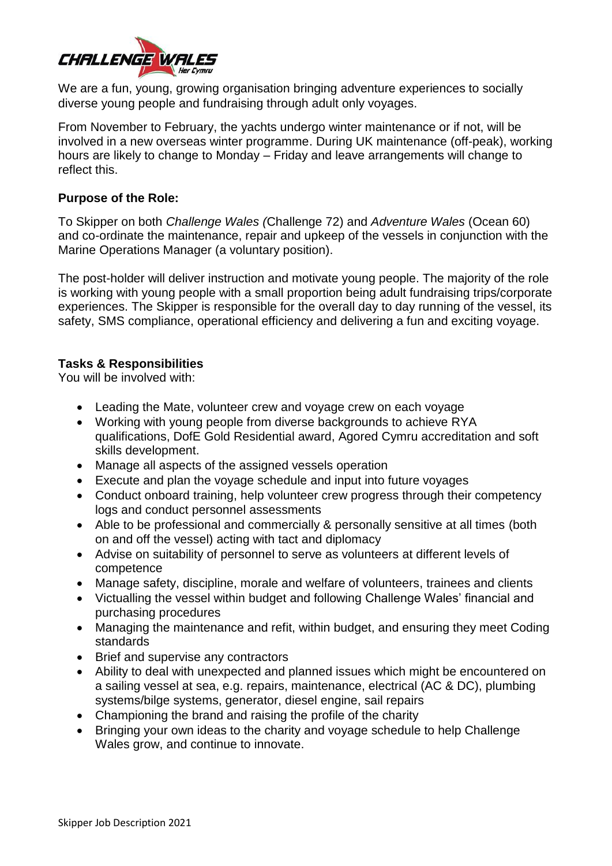

We are a fun, young, growing organisation bringing adventure experiences to socially diverse young people and fundraising through adult only voyages.

From November to February, the yachts undergo winter maintenance or if not, will be involved in a new overseas winter programme. During UK maintenance (off-peak), working hours are likely to change to Monday – Friday and leave arrangements will change to reflect this.

## **Purpose of the Role:**

To Skipper on both *Challenge Wales (*Challenge 72) and *Adventure Wales* (Ocean 60) and co-ordinate the maintenance, repair and upkeep of the vessels in conjunction with the Marine Operations Manager (a voluntary position).

The post-holder will deliver instruction and motivate young people. The majority of the role is working with young people with a small proportion being adult fundraising trips/corporate experiences. The Skipper is responsible for the overall day to day running of the vessel, its safety, SMS compliance, operational efficiency and delivering a fun and exciting voyage.

## **Tasks & Responsibilities**

You will be involved with:

- Leading the Mate, volunteer crew and voyage crew on each voyage
- Working with young people from diverse backgrounds to achieve RYA qualifications, DofE Gold Residential award, Agored Cymru accreditation and soft skills development.
- Manage all aspects of the assigned vessels operation
- Execute and plan the voyage schedule and input into future voyages
- Conduct onboard training, help volunteer crew progress through their competency logs and conduct personnel assessments
- Able to be professional and commercially & personally sensitive at all times (both on and off the vessel) acting with tact and diplomacy
- Advise on suitability of personnel to serve as volunteers at different levels of competence
- Manage safety, discipline, morale and welfare of volunteers, trainees and clients
- Victualling the vessel within budget and following Challenge Wales' financial and purchasing procedures
- Managing the maintenance and refit, within budget, and ensuring they meet Coding standards
- Brief and supervise any contractors
- Ability to deal with unexpected and planned issues which might be encountered on a sailing vessel at sea, e.g. repairs, maintenance, electrical (AC & DC), plumbing systems/bilge systems, generator, diesel engine, sail repairs
- Championing the brand and raising the profile of the charity
- Bringing your own ideas to the charity and voyage schedule to help Challenge Wales grow, and continue to innovate.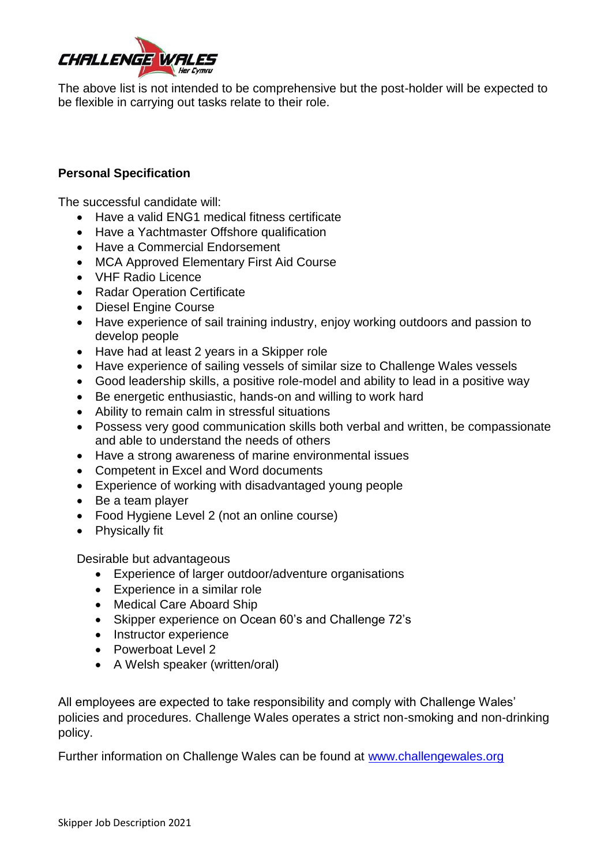

The above list is not intended to be comprehensive but the post-holder will be expected to be flexible in carrying out tasks relate to their role.

## **Personal Specification**

The successful candidate will:

- Have a valid ENG1 medical fitness certificate
- Have a Yachtmaster Offshore qualification
- Have a Commercial Endorsement
- MCA Approved Elementary First Aid Course
- VHF Radio Licence
- Radar Operation Certificate
- Diesel Engine Course
- Have experience of sail training industry, enjoy working outdoors and passion to develop people
- Have had at least 2 years in a Skipper role
- Have experience of sailing vessels of similar size to Challenge Wales vessels
- Good leadership skills, a positive role-model and ability to lead in a positive way
- Be energetic enthusiastic, hands-on and willing to work hard
- Ability to remain calm in stressful situations
- Possess very good communication skills both verbal and written, be compassionate and able to understand the needs of others
- Have a strong awareness of marine environmental issues
- Competent in Excel and Word documents
- Experience of working with disadvantaged young people
- Be a team player
- Food Hygiene Level 2 (not an online course)
- Physically fit

Desirable but advantageous

- Experience of larger outdoor/adventure organisations
- Experience in a similar role
- Medical Care Aboard Ship
- Skipper experience on Ocean 60's and Challenge 72's
- Instructor experience
- Powerboat Level 2
- A Welsh speaker (written/oral)

All employees are expected to take responsibility and comply with Challenge Wales' policies and procedures. Challenge Wales operates a strict non-smoking and non-drinking policy.

Further information on Challenge Wales can be found at www.challengewales.org